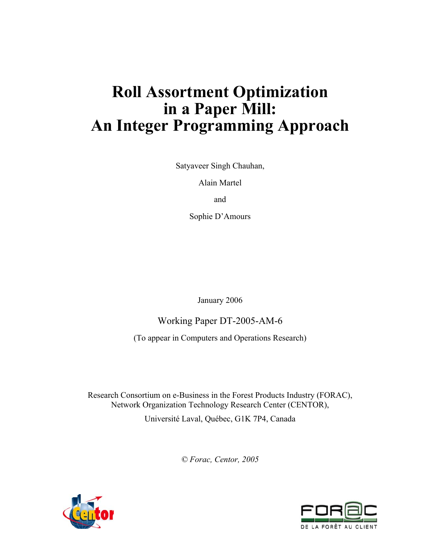# **Roll Assortment Optimization in a Paper Mill: An Integer Programming Approach**

Satyaveer Singh Chauhan,

Alain Martel

and

Sophie D'Amours

January 2006

### Working Paper DT-2005-AM-6

(To appear in Computers and Operations Research)

Research Consortium on e-Business in the Forest Products Industry (FORAC), Network Organization Technology Research Center (CENTOR),

Université Laval, Québec, G1K 7P4, Canada

*© Forac, Centor, 2005*



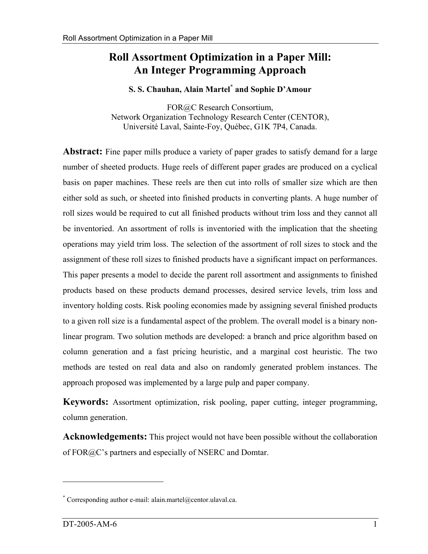### **Roll Assortment Optimization in a Paper Mill: An Integer Programming Approach**

### **S. S. Chauhan, Alain Martel\* and Sophie D'Amour**

FOR@C Research Consortium, Network Organization Technology Research Center (CENTOR), Université Laval, Sainte-Foy, Québec, G1K 7P4, Canada.

Abstract: Fine paper mills produce a variety of paper grades to satisfy demand for a large number of sheeted products. Huge reels of different paper grades are produced on a cyclical basis on paper machines. These reels are then cut into rolls of smaller size which are then either sold as such, or sheeted into finished products in converting plants. A huge number of roll sizes would be required to cut all finished products without trim loss and they cannot all be inventoried. An assortment of rolls is inventoried with the implication that the sheeting operations may yield trim loss. The selection of the assortment of roll sizes to stock and the assignment of these roll sizes to finished products have a significant impact on performances. This paper presents a model to decide the parent roll assortment and assignments to finished products based on these products demand processes, desired service levels, trim loss and inventory holding costs. Risk pooling economies made by assigning several finished products to a given roll size is a fundamental aspect of the problem. The overall model is a binary nonlinear program. Two solution methods are developed: a branch and price algorithm based on column generation and a fast pricing heuristic, and a marginal cost heuristic. The two methods are tested on real data and also on randomly generated problem instances. The approach proposed was implemented by a large pulp and paper company.

**Keywords:** Assortment optimization, risk pooling, paper cutting, integer programming, column generation.

**Acknowledgements:** This project would not have been possible without the collaboration of FOR@C's partners and especially of NSERC and Domtar.

 $\overline{a}$ 

<sup>\*</sup> Corresponding author e-mail: alain.martel@centor.ulaval.ca.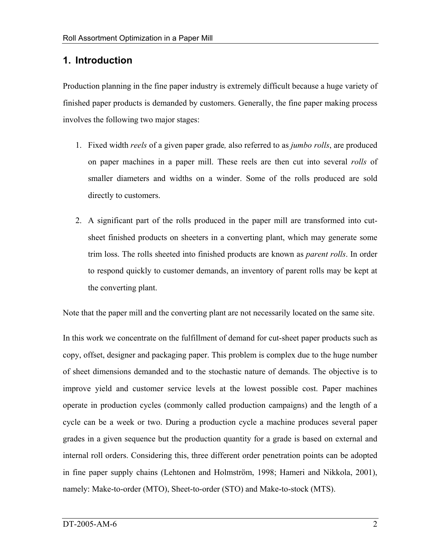### **1. Introduction**

Production planning in the fine paper industry is extremely difficult because a huge variety of finished paper products is demanded by customers. Generally, the fine paper making process involves the following two major stages:

- 1. Fixed width *reels* of a given paper grade*,* also referred to as *jumbo rolls*, are produced on paper machines in a paper mill. These reels are then cut into several *rolls* of smaller diameters and widths on a winder. Some of the rolls produced are sold directly to customers.
- 2. A significant part of the rolls produced in the paper mill are transformed into cutsheet finished products on sheeters in a converting plant, which may generate some trim loss. The rolls sheeted into finished products are known as *parent rolls*. In order to respond quickly to customer demands, an inventory of parent rolls may be kept at the converting plant.

Note that the paper mill and the converting plant are not necessarily located on the same site.

In this work we concentrate on the fulfillment of demand for cut-sheet paper products such as copy, offset, designer and packaging paper. This problem is complex due to the huge number of sheet dimensions demanded and to the stochastic nature of demands. The objective is to improve yield and customer service levels at the lowest possible cost. Paper machines operate in production cycles (commonly called production campaigns) and the length of a cycle can be a week or two. During a production cycle a machine produces several paper grades in a given sequence but the production quantity for a grade is based on external and internal roll orders. Considering this, three different order penetration points can be adopted in fine paper supply chains (Lehtonen and Holmström, 1998; Hameri and Nikkola, 2001), namely: Make-to-order (MTO), Sheet-to-order (STO) and Make-to-stock (MTS).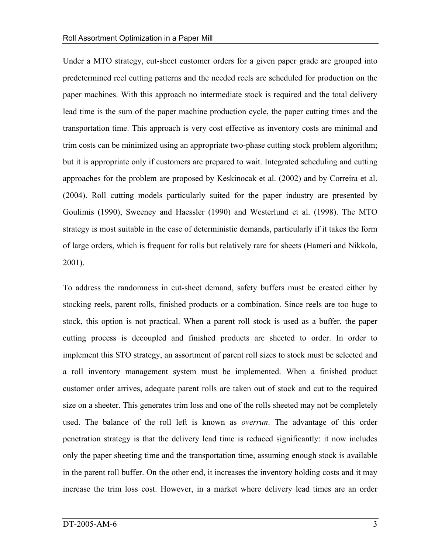Under a MTO strategy, cut-sheet customer orders for a given paper grade are grouped into predetermined reel cutting patterns and the needed reels are scheduled for production on the paper machines. With this approach no intermediate stock is required and the total delivery lead time is the sum of the paper machine production cycle, the paper cutting times and the transportation time. This approach is very cost effective as inventory costs are minimal and trim costs can be minimized using an appropriate two-phase cutting stock problem algorithm; but it is appropriate only if customers are prepared to wait. Integrated scheduling and cutting approaches for the problem are proposed by Keskinocak et al. (2002) and by Correira et al. (2004). Roll cutting models particularly suited for the paper industry are presented by Goulimis (1990), Sweeney and Haessler (1990) and Westerlund et al. (1998). The MTO strategy is most suitable in the case of deterministic demands, particularly if it takes the form of large orders, which is frequent for rolls but relatively rare for sheets (Hameri and Nikkola, 2001).

To address the randomness in cut-sheet demand, safety buffers must be created either by stocking reels, parent rolls, finished products or a combination. Since reels are too huge to stock, this option is not practical. When a parent roll stock is used as a buffer, the paper cutting process is decoupled and finished products are sheeted to order. In order to implement this STO strategy, an assortment of parent roll sizes to stock must be selected and a roll inventory management system must be implemented. When a finished product customer order arrives, adequate parent rolls are taken out of stock and cut to the required size on a sheeter. This generates trim loss and one of the rolls sheeted may not be completely used. The balance of the roll left is known as *overrun*. The advantage of this order penetration strategy is that the delivery lead time is reduced significantly: it now includes only the paper sheeting time and the transportation time, assuming enough stock is available in the parent roll buffer. On the other end, it increases the inventory holding costs and it may increase the trim loss cost. However, in a market where delivery lead times are an order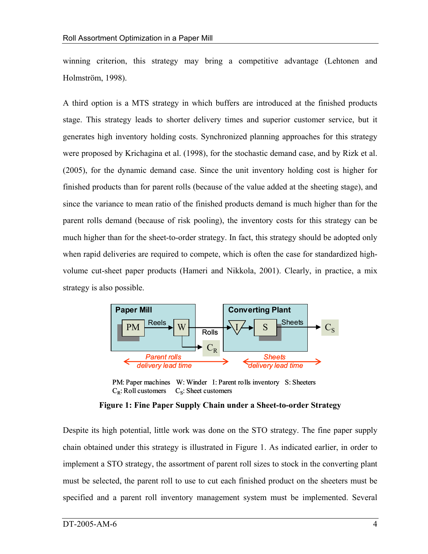winning criterion, this strategy may bring a competitive advantage (Lehtonen and Holmström, 1998).

A third option is a MTS strategy in which buffers are introduced at the finished products stage. This strategy leads to shorter delivery times and superior customer service, but it generates high inventory holding costs. Synchronized planning approaches for this strategy were proposed by Krichagina et al. (1998), for the stochastic demand case, and by Rizk et al. (2005), for the dynamic demand case. Since the unit inventory holding cost is higher for finished products than for parent rolls (because of the value added at the sheeting stage), and since the variance to mean ratio of the finished products demand is much higher than for the parent rolls demand (because of risk pooling), the inventory costs for this strategy can be much higher than for the sheet-to-order strategy. In fact, this strategy should be adopted only when rapid deliveries are required to compete, which is often the case for standardized highvolume cut-sheet paper products (Hameri and Nikkola, 2001). Clearly, in practice, a mix strategy is also possible.



PM: Paper machines W: Winder I: Parent rolls inventory S: Sheeters  $C_R$ : Roll customers  $C_S$ : Sheet customers

**Figure 1: Fine Paper Supply Chain under a Sheet-to-order Strategy** 

Despite its high potential, little work was done on the STO strategy. The fine paper supply chain obtained under this strategy is illustrated in Figure 1. As indicated earlier, in order to implement a STO strategy, the assortment of parent roll sizes to stock in the converting plant must be selected, the parent roll to use to cut each finished product on the sheeters must be specified and a parent roll inventory management system must be implemented. Several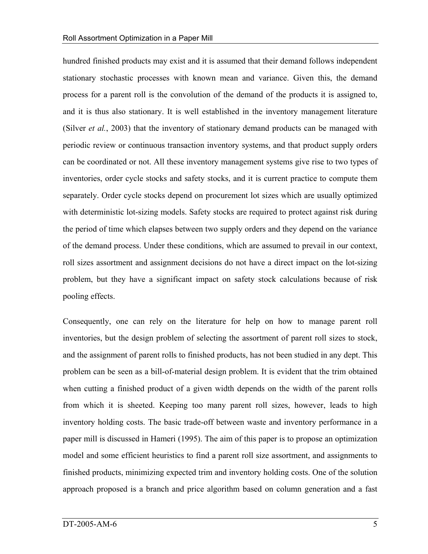hundred finished products may exist and it is assumed that their demand follows independent stationary stochastic processes with known mean and variance. Given this, the demand process for a parent roll is the convolution of the demand of the products it is assigned to, and it is thus also stationary. It is well established in the inventory management literature (Silver *et al.*, 2003) that the inventory of stationary demand products can be managed with periodic review or continuous transaction inventory systems, and that product supply orders can be coordinated or not. All these inventory management systems give rise to two types of inventories, order cycle stocks and safety stocks, and it is current practice to compute them separately. Order cycle stocks depend on procurement lot sizes which are usually optimized with deterministic lot-sizing models. Safety stocks are required to protect against risk during the period of time which elapses between two supply orders and they depend on the variance of the demand process. Under these conditions, which are assumed to prevail in our context, roll sizes assortment and assignment decisions do not have a direct impact on the lot-sizing problem, but they have a significant impact on safety stock calculations because of risk pooling effects.

Consequently, one can rely on the literature for help on how to manage parent roll inventories, but the design problem of selecting the assortment of parent roll sizes to stock, and the assignment of parent rolls to finished products, has not been studied in any dept. This problem can be seen as a bill-of-material design problem. It is evident that the trim obtained when cutting a finished product of a given width depends on the width of the parent rolls from which it is sheeted. Keeping too many parent roll sizes, however, leads to high inventory holding costs. The basic trade-off between waste and inventory performance in a paper mill is discussed in Hameri (1995). The aim of this paper is to propose an optimization model and some efficient heuristics to find a parent roll size assortment, and assignments to finished products, minimizing expected trim and inventory holding costs. One of the solution approach proposed is a branch and price algorithm based on column generation and a fast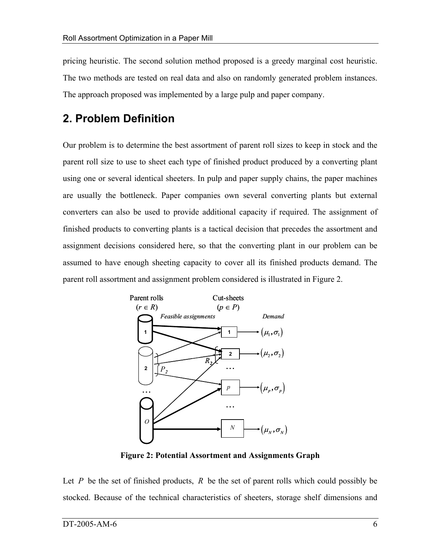pricing heuristic. The second solution method proposed is a greedy marginal cost heuristic. The two methods are tested on real data and also on randomly generated problem instances. The approach proposed was implemented by a large pulp and paper company.

## **2. Problem Definition**

Our problem is to determine the best assortment of parent roll sizes to keep in stock and the parent roll size to use to sheet each type of finished product produced by a converting plant using one or several identical sheeters. In pulp and paper supply chains, the paper machines are usually the bottleneck. Paper companies own several converting plants but external converters can also be used to provide additional capacity if required. The assignment of finished products to converting plants is a tactical decision that precedes the assortment and assignment decisions considered here, so that the converting plant in our problem can be assumed to have enough sheeting capacity to cover all its finished products demand. The parent roll assortment and assignment problem considered is illustrated in Figure 2.



**Figure 2: Potential Assortment and Assignments Graph** 

Let *P* be the set of finished products, *R* be the set of parent rolls which could possibly be stocked. Because of the technical characteristics of sheeters, storage shelf dimensions and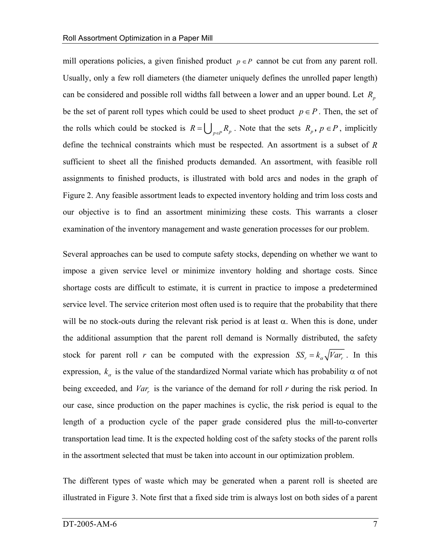mill operations policies, a given finished product  $p \in P$  cannot be cut from any parent roll. Usually, only a few roll diameters (the diameter uniquely defines the unrolled paper length) can be considered and possible roll widths fall between a lower and an upper bound. Let *R p* be the set of parent roll types which could be used to sheet product  $p \in P$ . Then, the set of the rolls which could be stocked is  $R = \bigcup_{p \in P} R_p$ . Note that the sets  $R_p$ ,  $p \in P$ , implicitly define the technical constraints which must be respected. An assortment is a subset of *R* sufficient to sheet all the finished products demanded. An assortment, with feasible roll assignments to finished products, is illustrated with bold arcs and nodes in the graph of Figure 2. Any feasible assortment leads to expected inventory holding and trim loss costs and our objective is to find an assortment minimizing these costs. This warrants a closer examination of the inventory management and waste generation processes for our problem.

Several approaches can be used to compute safety stocks, depending on whether we want to impose a given service level or minimize inventory holding and shortage costs. Since shortage costs are difficult to estimate, it is current in practice to impose a predetermined service level. The service criterion most often used is to require that the probability that there will be no stock-outs during the relevant risk period is at least  $\alpha$ . When this is done, under the additional assumption that the parent roll demand is Normally distributed, the safety stock for parent roll *r* can be computed with the expression  $SS_r = k_\alpha \sqrt{Var_r}$ . In this expression,  $k_a$  is the value of the standardized Normal variate which has probability  $\alpha$  of not being exceeded, and *Var* is the variance of the demand for roll *r* during the risk period. In our case, since production on the paper machines is cyclic, the risk period is equal to the length of a production cycle of the paper grade considered plus the mill-to-converter transportation lead time. It is the expected holding cost of the safety stocks of the parent rolls in the assortment selected that must be taken into account in our optimization problem.

The different types of waste which may be generated when a parent roll is sheeted are illustrated in Figure 3. Note first that a fixed side trim is always lost on both sides of a parent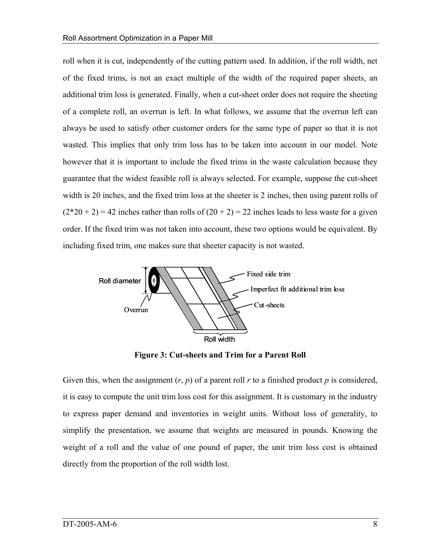roll when it is cut, independently of the cutting pattern used. In addition, if the roll width, net of the fixed trims, is not an exact multiple of the width of the required paper sheets, an additional trim loss is generated. Finally, when a cut-sheet order does not require the sheeting of a complete roll, an overrun is left. In what follows, we assume that the overrun left can always be used to satisfy other customer orders for the same type of paper so that it is not wasted. This implies that only trim loss has to be taken into account in our model. Note however that it is important to include the fixed trims in the waste calculation because they guarantee that the widest feasible roll is always selected. For example, suppose the cut-sheet width is 20 inches, and the fixed trim loss at the sheeter is 2 inches, then using parent rolls of  $(2*20 + 2) = 42$  inches rather than rolls of  $(20 + 2) = 22$  inches leads to less waste for a given order. If the fixed trim was not taken into account, these two options would be equivalent. By including fixed trim, one makes sure that sheeter capacity is not wasted.



**Figure 3: Cut-sheets and Trim for a Parent Roll** 

Given this, when the assignment  $(r, p)$  of a parent roll  $r$  to a finished product  $p$  is considered, it is easy to compute the unit trim loss cost for this assignment. It is customary in the industry to express paper demand and inventories in weight units. Without loss of generality, to simplify the presentation, we assume that weights are measured in pounds. Knowing the weight of a roll and the value of one pound of paper, the unit trim loss cost is obtained directly from the proportion of the roll width lost.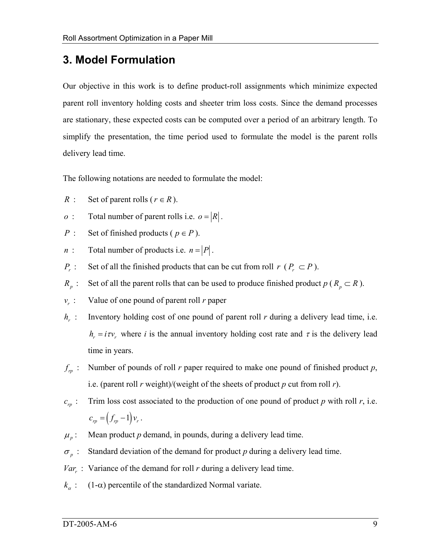## **3. Model Formulation**

Our objective in this work is to define product-roll assignments which minimize expected parent roll inventory holding costs and sheeter trim loss costs. Since the demand processes are stationary, these expected costs can be computed over a period of an arbitrary length. To simplify the presentation, the time period used to formulate the model is the parent rolls delivery lead time.

The following notations are needed to formulate the model:

- *R* : Set of parent rolls ( $r \in R$ ).
- *o* : Total number of parent rolls i.e.  $o = |R|$ .
- *P* : Set of finished products ( $p \in P$ ).
- *n* : Total number of products i.e.  $n = |P|$ .
- *P<sub>r</sub>* : Set of all the finished products that can be cut from roll *r*  $(P_r \subset P)$ .
- *R<sub>p</sub>*: Set of all the parent rolls that can be used to produce finished product  $p$  ( $R_p \subset R$ ).
- *<sup>r</sup> v* : Value of one pound of parent roll *r* paper
- *h<sub>r</sub>* : Inventory holding cost of one pound of parent roll *r* during a delivery lead time, i.e.  $h_r = i\tau v_r$ , where *i* is the annual inventory holding cost rate and  $\tau$  is the delivery lead time in years.
- $f_{rp}$  : Number of pounds of roll *r* paper required to make one pound of finished product *p*, i.e. (parent roll *r* weight)/(weight of the sheets of product *p* cut from roll *r*).
- $c_m$ : Trim loss cost associated to the production of one pound of product *p* with roll *r*, i.e.  $c_{rp} = (f_{rp} - 1)v_r$ .
- $\mu_n$ : Mean product p demand, in pounds, during a delivery lead time.
- $\sigma_p$ : Standard deviation of the demand for product p during a delivery lead time.
- *Var<sub>r</sub>*: Variance of the demand for roll *r* during a delivery lead time.
- $k_{\alpha}$  : (1- $\alpha$ ) percentile of the standardized Normal variate.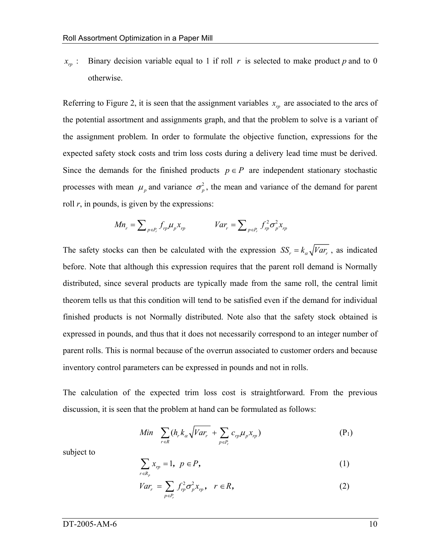$x_{rp}$ : Binary decision variable equal to 1 if roll *r* is selected to make product *p* and to 0 otherwise.

Referring to Figure 2, it is seen that the assignment variables  $x_{rp}$  are associated to the arcs of the potential assortment and assignments graph, and that the problem to solve is a variant of the assignment problem. In order to formulate the objective function, expressions for the expected safety stock costs and trim loss costs during a delivery lead time must be derived. Since the demands for the finished products  $p \in P$  are independent stationary stochastic processes with mean  $\mu_p$  and variance  $\sigma_p^2$ , the mean and variance of the demand for parent roll  $r$ , in pounds, is given by the expressions:

$$
Mn_r = \sum_{p \in P_r} f_{rp} \mu_p x_{rp} \qquad Var_r = \sum_{p \in P_r} f_{rp}^2 \sigma_p^2 x_{rp}
$$

The safety stocks can then be calculated with the expression  $SS_r = k_\alpha \sqrt{Var_r}$ , as indicated before. Note that although this expression requires that the parent roll demand is Normally distributed, since several products are typically made from the same roll, the central limit theorem tells us that this condition will tend to be satisfied even if the demand for individual finished products is not Normally distributed. Note also that the safety stock obtained is expressed in pounds, and thus that it does not necessarily correspond to an integer number of parent rolls. This is normal because of the overrun associated to customer orders and because inventory control parameters can be expressed in pounds and not in rolls.

The calculation of the expected trim loss cost is straightforward. From the previous discussion, it is seen that the problem at hand can be formulated as follows:

$$
Min \sum_{r \in R} (h_r k_\alpha \sqrt{Var_r} + \sum_{p \in P_r} c_{rp} \mu_p x_{rp})
$$
 (P<sub>1</sub>)

subject to

$$
\sum_{r \in R_p} x_{rp} = 1, \ p \in P,
$$
\n<sup>(1)</sup>

$$
Var_r = \sum_{p \in P_r} f_{rp}^2 \sigma_p^2 x_{rp}, \quad r \in R,
$$
\n(2)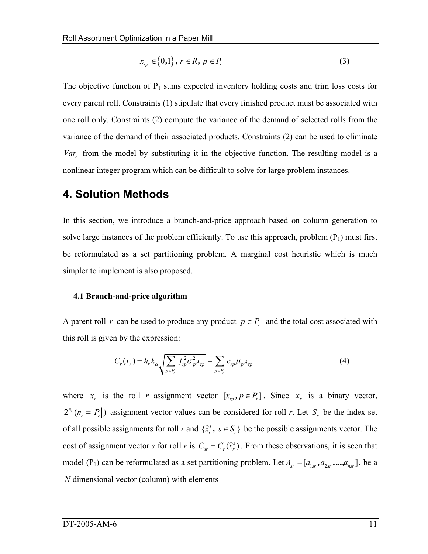$$
x_{r_p} \in \{0,1\}, r \in R, p \in P_r \tag{3}
$$

The objective function of  $P_1$  sums expected inventory holding costs and trim loss costs for every parent roll. Constraints (1) stipulate that every finished product must be associated with one roll only. Constraints (2) compute the variance of the demand of selected rolls from the variance of the demand of their associated products. Constraints (2) can be used to eliminate *Var*, from the model by substituting it in the objective function. The resulting model is a nonlinear integer program which can be difficult to solve for large problem instances.

### **4. Solution Methods**

In this section, we introduce a branch-and-price approach based on column generation to solve large instances of the problem efficiently. To use this approach, problem  $(P_1)$  must first be reformulated as a set partitioning problem. A marginal cost heuristic which is much simpler to implement is also proposed.

#### **4.1 Branch-and-price algorithm**

A parent roll *r* can be used to produce any product  $p \in P_r$  and the total cost associated with this roll is given by the expression:

$$
C_r(x_r) = h_r k_a \sqrt{\sum_{p \in P_r} f_{rp}^2 \sigma_p^2 x_{rp}} + \sum_{p \in P_r} c_{rp} \mu_p x_{rp}
$$
 (4)

where  $x_r$  is the roll *r* assignment vector  $[x_{rp}, p \in P_r]$ . Since  $x_r$  is a binary vector,  $2^{n_r}$   $(n_r = |P_r|)$  assignment vector values can be considered for roll *r*. Let *S<sub>r</sub>* be the index set of all possible assignments for roll *r* and  $\{\hat{x}_r^s, s \in S_r\}$  be the possible assignments vector. The cost of assignment vector *s* for roll *r* is  $C_{sr} = C_r(\hat{x}_r^s)$ . From these observations, it is seen that model (P<sub>1</sub>) can be reformulated as a set partitioning problem. Let  $A_{sr} = [a_{1sr}, a_{2sr}, ..., a_{nsr}]$ , be a *N* dimensional vector (column) with elements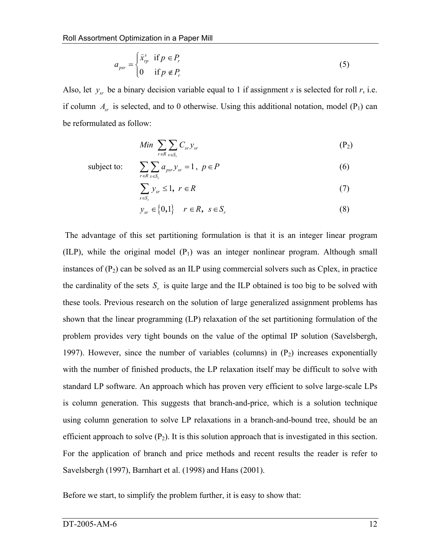$$
a_{psr} = \begin{cases} \hat{x}_{rp}^s & \text{if } p \in P_r \\ 0 & \text{if } p \notin P_r \end{cases}
$$
 (5)

Also, let  $y_{sr}$  be a binary decision variable equal to 1 if assignment *s* is selected for roll *r*, i.e. if column  $A_{sr}$  is selected, and to 0 otherwise. Using this additional notation, model (P<sub>1</sub>) can be reformulated as follow:

$$
Min \sum_{r \in R} \sum_{s \in S_r} C_{sr} y_{sr} \tag{P_2}
$$

subject to:

$$
\sum_{r \in R} \sum_{s \in S_r} a_{psr} y_{sr} = 1, \ p \in P \tag{6}
$$

$$
\sum_{s \in S_r} y_{sr} \le 1, \ r \in R \tag{7}
$$

$$
y_{sr} \in \{0,1\} \quad r \in R, \ s \in S_r \tag{8}
$$

 The advantage of this set partitioning formulation is that it is an integer linear program (ILP), while the original model  $(P_1)$  was an integer nonlinear program. Although small instances of  $(P_2)$  can be solved as an ILP using commercial solvers such as Cplex, in practice the cardinality of the sets  $S_r$  is quite large and the ILP obtained is too big to be solved with these tools. Previous research on the solution of large generalized assignment problems has shown that the linear programming (LP) relaxation of the set partitioning formulation of the problem provides very tight bounds on the value of the optimal IP solution (Savelsbergh, 1997). However, since the number of variables (columns) in  $(P_2)$  increases exponentially with the number of finished products, the LP relaxation itself may be difficult to solve with standard LP software. An approach which has proven very efficient to solve large-scale LPs is column generation. This suggests that branch-and-price, which is a solution technique using column generation to solve LP relaxations in a branch-and-bound tree, should be an efficient approach to solve  $(P_2)$ . It is this solution approach that is investigated in this section. For the application of branch and price methods and recent results the reader is refer to Savelsbergh (1997), Barnhart et al. (1998) and Hans (2001).

Before we start, to simplify the problem further, it is easy to show that: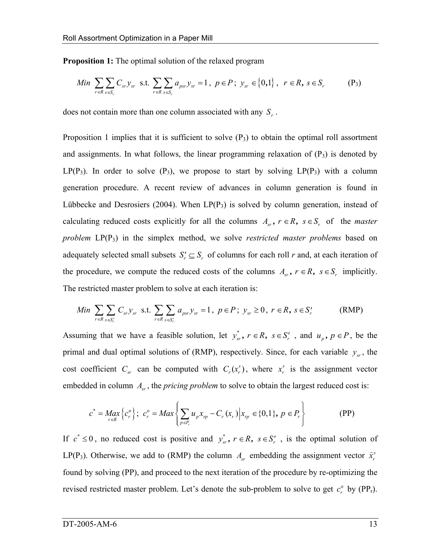**Proposition 1:** The optimal solution of the relaxed program

Min 
$$
\sum_{r \in R} \sum_{s \in S_r} C_{sr} y_{sr}
$$
 s.t.  $\sum_{r \in R} \sum_{s \in S_r} a_{psr} y_{sr} = 1$ ,  $p \in P$ ;  $y_{sr} \in \{0,1\}$ ,  $r \in R$ ,  $s \in S_r$  (P<sub>3</sub>)

does not contain more than one column associated with any  $S_r$ .

Proposition 1 implies that it is sufficient to solve  $(P_3)$  to obtain the optimal roll assortment and assignments. In what follows, the linear programming relaxation of  $(P_3)$  is denoted by  $LP(P_3)$ . In order to solve  $(P_3)$ , we propose to start by solving  $LP(P_3)$  with a column generation procedure. A recent review of advances in column generation is found in Lübbecke and Desrosiers (2004). When  $LP(P_3)$  is solved by column generation, instead of calculating reduced costs explicitly for all the columns  $A_{sr}$ ,  $r \in R$ ,  $s \in S_r$  of the *master problem* LP(P<sub>3</sub>) in the simplex method, we solve *restricted master problems* based on adequately selected small subsets  $S'_r \subseteq S_r$  of columns for each roll *r* and, at each iteration of the procedure, we compute the reduced costs of the columns  $A_{sr}$ ,  $r \in R$ ,  $s \in S_r$  implicitly. The restricted master problem to solve at each iteration is:

Min 
$$
\sum_{r \in R} \sum_{s \in S'_r} C_{sr} y_{sr}
$$
 s.t.  $\sum_{r \in R} \sum_{s \in S'_r} a_{psr} y_{sr} = 1$ ,  $p \in P$ ;  $y_{sr} \ge 0$ ,  $r \in R$ ,  $s \in S'_r$  (RMP)

Assuming that we have a feasible solution, let  $y^*_{s_r}$ ,  $r \in R$ ,  $s \in S'_r$ , and  $u_p$ ,  $p \in P$ , be the primal and dual optimal solutions of (RMP), respectively. Since, for each variable  $y_{sr}$ , the cost coefficient  $C_{sr}$  can be computed with  $C_r(x_r^s)$ , where  $x_r^s$  is the assignment vector embedded in column  $A_{sr}$ , the *pricing problem* to solve to obtain the largest reduced cost is:

$$
c^* = \max_{r \in R} \{c_r^o\}; \ c_r^o = Max \left\{ \sum_{p \in P_r} u_p x_{rp} - C_r(x_r) \Big| x_{rp} \in \{0, 1\}, \ p \in P_r \right\}
$$
 (PP)

If  $c^* \leq 0$ , no reduced cost is positive and  $y^*_{sr}$ ,  $r \in R$ ,  $s \in S'_r$ , is the optimal solution of LP(P<sub>3</sub>). Otherwise, we add to (RMP) the column  $A_{sr}$  embedding the assignment vector  $\hat{x}_r^s$ found by solving (PP), and proceed to the next iteration of the procedure by re-optimizing the revised restricted master problem. Let's denote the sub-problem to solve to get  $c_r^{\circ}$  by (PP<sub>r</sub>).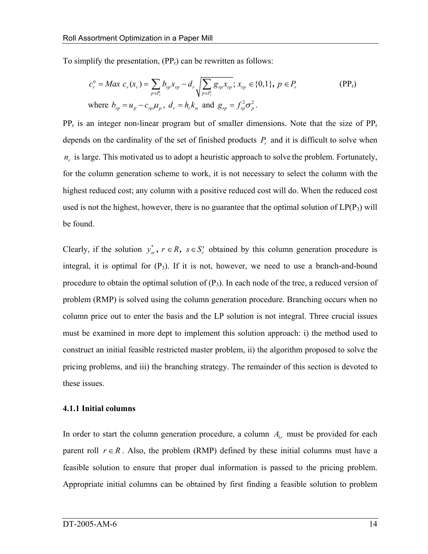To simplify the presentation,  $(PP_r)$  can be rewritten as follows:

$$
c_r^{\circ} = Max \ c_r(x_r) = \sum_{p \in P_r} b_{rp} x_{rp} - d_r \sqrt{\sum_{p \in P_r} g_{rp} x_{rp}}; x_{rp} \in \{0, 1\}, \ p \in P_r
$$
  
where  $b_{rp} = u_p - c_{rp} \mu_p$ ,  $d_r = h_r k_\alpha$  and  $g_{rp} = f_{rp}^2 \sigma_p^2$ . (PP<sub>r</sub>)

 $PP_r$  is an integer non-linear program but of smaller dimensions. Note that the size of  $PP_r$ depends on the cardinality of the set of finished products  $P_r$  and it is difficult to solve when *n<sub>r</sub>* is large. This motivated us to adopt a heuristic approach to solve the problem. Fortunately, for the column generation scheme to work, it is not necessary to select the column with the highest reduced cost; any column with a positive reduced cost will do. When the reduced cost used is not the highest, however, there is no guarantee that the optimal solution of  $LP(P_3)$  will be found.

Clearly, if the solution  $y^*_{sr}$ ,  $r \in R$ ,  $s \in S'_r$  obtained by this column generation procedure is integral, it is optimal for  $(P_3)$ . If it is not, however, we need to use a branch-and-bound procedure to obtain the optimal solution of  $(P_3)$ . In each node of the tree, a reduced version of problem (RMP) is solved using the column generation procedure. Branching occurs when no column price out to enter the basis and the LP solution is not integral. Three crucial issues must be examined in more dept to implement this solution approach: i) the method used to construct an initial feasible restricted master problem, ii) the algorithm proposed to solve the pricing problems, and iii) the branching strategy. The remainder of this section is devoted to these issues.

#### **4.1.1 Initial columns**

In order to start the column generation procedure, a column  $A<sub>1</sub>$  must be provided for each parent roll  $r \in R$ . Also, the problem (RMP) defined by these initial columns must have a feasible solution to ensure that proper dual information is passed to the pricing problem. Appropriate initial columns can be obtained by first finding a feasible solution to problem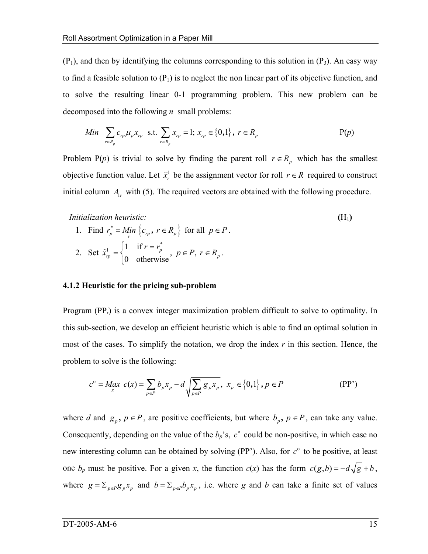$(P_1)$ , and then by identifying the columns corresponding to this solution in  $(P_3)$ . An easy way to find a feasible solution to  $(P_1)$  is to neglect the non linear part of its objective function, and to solve the resulting linear 0-1 programming problem. This new problem can be decomposed into the following *n* small problems:

Min 
$$
\sum_{r \in R_p} c_{rp} \mu_p x_{rp}
$$
 s.t.  $\sum_{r \in R_p} x_{rp} = 1$ ;  $x_{rp} \in \{0,1\}$ ,  $r \in R_p$   $P(p)$ 

Problem P(*p*) is trivial to solve by finding the parent roll  $r \in R$ <sub>*p*</sub> which has the smallest objective function value. Let  $\hat{x}_r^1$  be the assignment vector for roll  $r \in R$  required to construct initial column  $A<sub>1</sub>*r*$  with (5). The required vectors are obtained with the following procedure.

Initialization heuristic:

\n1. Find 
$$
r_p^* = \text{Min} \{c_{rp}, r \in R_p\}
$$
 for all  $p \in P$ .

\n2. Set  $\hat{x}_{rp}^1 = \begin{cases} 1 & \text{if } r = r_p^* \\ 0 & \text{otherwise} \end{cases}$ ,  $p \in P$ ,  $r \in R_p$ .

#### **4.1.2 Heuristic for the pricing sub-problem**

Program  $(PP_r)$  is a convex integer maximization problem difficult to solve to optimality. In this sub-section, we develop an efficient heuristic which is able to find an optimal solution in most of the cases. To simplify the notation, we drop the index *r* in this section. Hence, the problem to solve is the following:

$$
c^{\circ} = Max \ c(x) = \sum_{p \in P} b_p x_p - d \sqrt{\sum_{p \in P} g_p x_p}, \ x_p \in \{0,1\}, p \in P
$$
 (PP')

where *d* and  $g_p$ ,  $p \in P$ , are positive coefficients, but where  $b_p$ ,  $p \in P$ , can take any value. Consequently, depending on the value of the  $b_p$ 's,  $c^{\circ}$  could be non-positive, in which case no new interesting column can be obtained by solving (PP'). Also, for  $c^{\circ}$  to be positive, at least one *b<sub>p</sub>* must be positive. For a given *x*, the function *c(x)* has the form  $c(g,b) = -d\sqrt{g} + b$ , where  $g = \sum_{p \in P} g_p x_p$  and  $b = \sum_{p \in P} b_p x_p$ , i.e. where *g* and *b* can take a finite set of values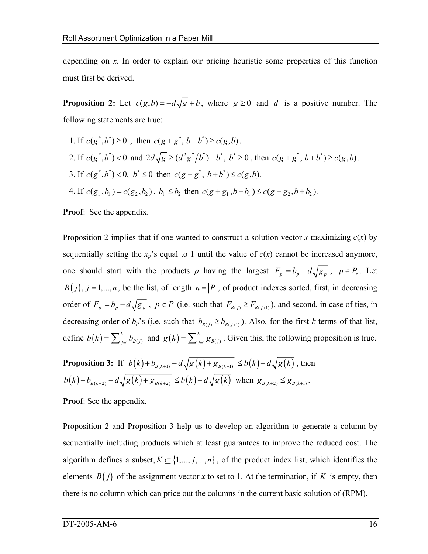depending on *x*. In order to explain our pricing heuristic some properties of this function must first be derived.

**Proposition 2:** Let  $c(g,b) = -d\sqrt{g} + b$ , where  $g \ge 0$  and *d* is a positive number. The following statements are true:

1. If  $c(g^*,b^*) \ge 0$ , then  $c(g+g^*,b+b^*) \ge c(g,b)$ . 2. If  $c(g^*, b^*) < 0$  and  $2d\sqrt{g} \geq (d^2g^*/b^*) - b^*$ ,  $b^* \geq 0$ , then  $c(g + g^*, b + b^*) \geq c(g, b)$ . 3. If  $c(g^*, b^*)$  < 0,  $b^* \le 0$  then  $c(g + g^*, b + b^*) \le c(g, b)$ . 4. If  $c(g_1, b_1) = c(g_2, b_2)$ ,  $b_1 \leq b_2$  then  $c(g + g_1, b + b_1) \leq c(g + g_2, b + b_2)$ .

**Proof**: See the appendix.

Proposition 2 implies that if one wanted to construct a solution vector *x* maximizing  $c(x)$  by sequentially setting the  $x_p$ 's equal to 1 until the value of  $c(x)$  cannot be increased anymore, one should start with the products *p* having the largest  $F_p = b_p - d\sqrt{g_p}$ ,  $p \in P_r$ . Let  $B(j)$ ,  $j = 1,...,n$ , be the list, of length  $n = |P|$ , of product indexes sorted, first, in decreasing order of  $F_p = b_p - d\sqrt{g_p}$ ,  $p \in P$  (i.e. such that  $F_{B(j)} \ge F_{B(j+1)}$ ), and second, in case of ties, in decreasing order of  $b_p$ 's (i.e. such that  $b_{B(j)} \ge b_{B(j+1)}$ ). Also, for the first *k* terms of that list, define  $b(k) = \sum_{j=1}^{k} b_{B(j)}$  $b(k) = \sum_{j=1}^{k} b_{B(j)}$  and  $g(k) = \sum_{j=1}^{k} g_{B(j)}$ . Given this, the following proposition is true.

**Proposition 3:** If 
$$
b(k)+b_{B(k+1)}-d\sqrt{g(k)+g_{B(k+1)}} \le b(k)-d\sqrt{g(k)}
$$
, then  
 $b(k)+b_{B(k+2)}-d\sqrt{g(k)+g_{B(k+2)}} \le b(k)-d\sqrt{g(k)}$  when  $g_{B(k+2)} \le g_{B(k+1)}$ .

**Proof**: See the appendix.

Proposition 2 and Proposition 3 help us to develop an algorithm to generate a column by sequentially including products which at least guarantees to improve the reduced cost. The algorithm defines a subset,  $K \subseteq \{1, ..., j, ..., n\}$ , of the product index list, which identifies the elements  $B(j)$  of the assignment vector *x* to set to 1. At the termination, if *K* is empty, then there is no column which can price out the columns in the current basic solution of (RPM).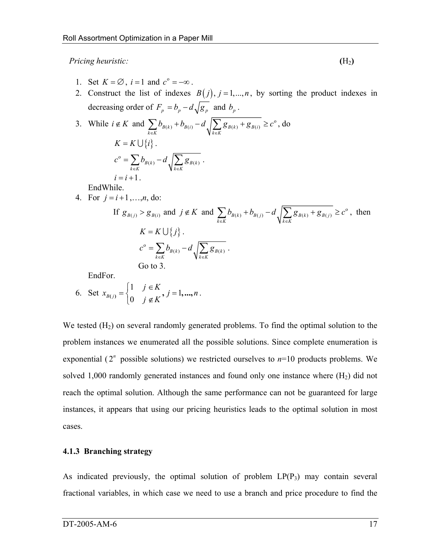*Pricing heuristic:* (H<sub>2</sub>)

- 1. Set  $K = \emptyset$ ,  $i = 1$  and  $c^{\circ} = -\infty$ .
- 2. Construct the list of indexes  $B(j)$ ,  $j = 1,...,n$ , by sorting the product indexes in decreasing order of  $F_p = b_p - d\sqrt{g_p}$  and  $b_p$ .

3. While 
$$
i \notin K
$$
 and  $\sum_{k \in K} b_{B(k)} + b_{B(i)} - d \sqrt{\sum_{k \in K} g_{B(k)} + g_{B(i)}} \ge c^{\circ}$ , do  
\n
$$
K = K \cup \{i\}.
$$
\n
$$
c^{\circ} = \sum_{k \in K} b_{B(k)} - d \sqrt{\sum_{k \in K} g_{B(k)}}.
$$
\n
$$
i = i + 1.
$$
\nEndWhile.  
\n4 For  $i = i + 1$  and  $\circ$ 

4. For 
$$
j = i + 1, ..., n
$$
, do.

If 
$$
g_{B(j)} > g_{B(i)}
$$
 and  $j \notin K$  and  $\sum_{k \in K} b_{B(k)} + b_{B(j)} - d \sqrt{\sum_{k \in K} g_{B(k)} + g_{B(j)}} \ge c^{\circ}$ , then  
\n
$$
K = K \cup \{j\}.
$$
\n
$$
c^{\circ} = \sum_{k \in K} b_{B(k)} - d \sqrt{\sum_{k \in K} g_{B(k)}}.
$$
\nGo to 3.

EndFor.

6. Set 
$$
x_{B(j)} = \begin{cases} 1 & j \in K \\ 0 & j \notin K \end{cases}
$$
,  $j = 1, ..., n$ .

We tested  $(H<sub>2</sub>)$  on several randomly generated problems. To find the optimal solution to the problem instances we enumerated all the possible solutions. Since complete enumeration is exponential  $(2^n)$  possible solutions) we restricted ourselves to  $n=10$  products problems. We solved 1,000 randomly generated instances and found only one instance where  $(H<sub>2</sub>)$  did not reach the optimal solution. Although the same performance can not be guaranteed for large instances, it appears that using our pricing heuristics leads to the optimal solution in most cases.

#### **4.1.3 Branching strategy**

As indicated previously, the optimal solution of problem  $LP(P_3)$  may contain several fractional variables, in which case we need to use a branch and price procedure to find the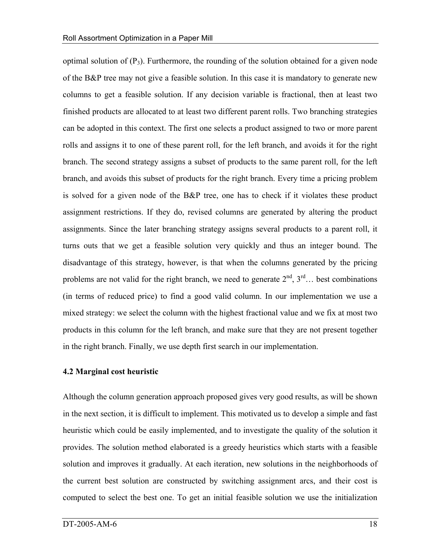optimal solution of  $(P_3)$ . Furthermore, the rounding of the solution obtained for a given node of the B&P tree may not give a feasible solution. In this case it is mandatory to generate new columns to get a feasible solution. If any decision variable is fractional, then at least two finished products are allocated to at least two different parent rolls. Two branching strategies can be adopted in this context. The first one selects a product assigned to two or more parent rolls and assigns it to one of these parent roll, for the left branch, and avoids it for the right branch. The second strategy assigns a subset of products to the same parent roll, for the left branch, and avoids this subset of products for the right branch. Every time a pricing problem is solved for a given node of the B&P tree, one has to check if it violates these product assignment restrictions. If they do, revised columns are generated by altering the product assignments. Since the later branching strategy assigns several products to a parent roll, it turns outs that we get a feasible solution very quickly and thus an integer bound. The disadvantage of this strategy, however, is that when the columns generated by the pricing problems are not valid for the right branch, we need to generate  $2<sup>nd</sup>$ ,  $3<sup>rd</sup>$ ... best combinations (in terms of reduced price) to find a good valid column. In our implementation we use a mixed strategy: we select the column with the highest fractional value and we fix at most two products in this column for the left branch, and make sure that they are not present together in the right branch. Finally, we use depth first search in our implementation.

#### **4.2 Marginal cost heuristic**

Although the column generation approach proposed gives very good results, as will be shown in the next section, it is difficult to implement. This motivated us to develop a simple and fast heuristic which could be easily implemented, and to investigate the quality of the solution it provides. The solution method elaborated is a greedy heuristics which starts with a feasible solution and improves it gradually. At each iteration, new solutions in the neighborhoods of the current best solution are constructed by switching assignment arcs, and their cost is computed to select the best one. To get an initial feasible solution we use the initialization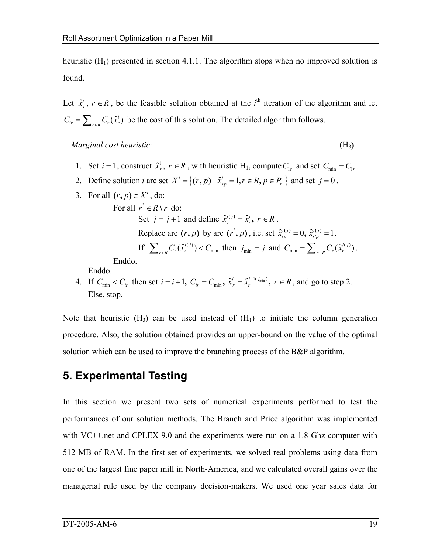heuristic  $(H_1)$  presented in section 4.1.1. The algorithm stops when no improved solution is found.

Let  $\hat{x}_r^i$ ,  $r \in R$ , be the feasible solution obtained at the *i*<sup>th</sup> iteration of the algorithm and let  $(\hat{x}_{r}^{i})$  $C_{ir} = \sum_{r \in R} C_r(\hat{x}_r^i)$  be the cost of this solution. The detailed algorithm follows.

 *Marginal cost heuristic:* **(**H3**)** 

- 
- 1. Set  $i = 1$ , construct  $\hat{x}_r^1$ ,  $r \in R$ , with heuristic H<sub>1</sub>, compute  $C_{1r}$  and set  $C_{\min} = C_{1r}$ .
- 2. Define solution *i* arc set  $X^i = \{(r, p) | \hat{x}_{r_p}^i = 1, r \in R, p \in P_r \}$  and set  $j = 0$ .
- 3. For all  $(r, p) \in X^i$ , do: For all  $r' \in R \setminus r$  do: Set  $j = j + 1$  and define  $\hat{x}_r^{i(j)} = \hat{x}_r^i$ ,  $r \in R$ . Replace arc  $(r, p)$  by arc  $(r^{\prime}, p)$ , i.e. set  $\hat{x}_{rp}^{i(j)} = 0$ ,  $\hat{x}_{rp}^{i(j)} = 1$ . If  $\sum_{r \in R} C_r(\hat{x}_r^{i(j)}) < C_{\min}$  $\sum_{r \in R} C_r(\hat{x}_r^{i(j)}) < C_{\min}$  then  $j_{\min} = j$  and  $C_{\min} = \sum_{r \in R} C_r(\hat{x}_r^{i(j)})$  $C_{\min} = \sum_{r \in R} C_r(\hat{x}_r^{i(j)})$ .

Enddo.

Enddo.

4. If  $C_{\min} < C_i$  then set  $i = i+1$ ,  $C_{ir} = C_{\min}$ ,  $\hat{x}_r^i = \hat{x}_r^{i-1(j_{\min})}$ ,  $r \in R$ , and go to step 2. Else, stop.

Note that heuristic  $(H_3)$  can be used instead of  $(H_1)$  to initiate the column generation procedure. Also, the solution obtained provides an upper-bound on the value of the optimal solution which can be used to improve the branching process of the B&P algorithm.

### **5. Experimental Testing**

In this section we present two sets of numerical experiments performed to test the performances of our solution methods. The Branch and Price algorithm was implemented with VC++.net and CPLEX 9.0 and the experiments were run on a 1.8 Ghz computer with 512 MB of RAM. In the first set of experiments, we solved real problems using data from one of the largest fine paper mill in North-America, and we calculated overall gains over the managerial rule used by the company decision-makers. We used one year sales data for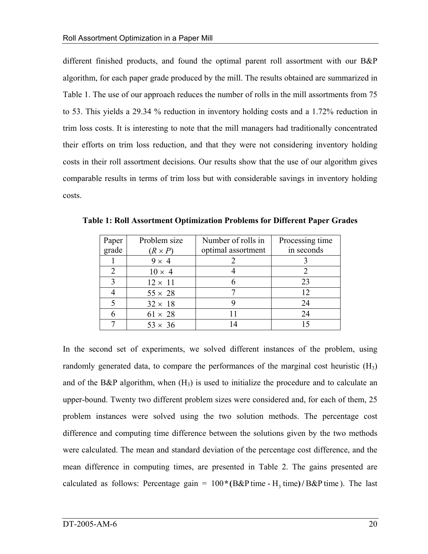different finished products, and found the optimal parent roll assortment with our B&P algorithm, for each paper grade produced by the mill. The results obtained are summarized in Table 1. The use of our approach reduces the number of rolls in the mill assortments from 75 to 53. This yields a 29.34 % reduction in inventory holding costs and a 1.72% reduction in trim loss costs. It is interesting to note that the mill managers had traditionally concentrated their efforts on trim loss reduction, and that they were not considering inventory holding costs in their roll assortment decisions. Our results show that the use of our algorithm gives comparable results in terms of trim loss but with considerable savings in inventory holding costs.

| Paper                       | Problem size   | Number of rolls in | Processing time |
|-----------------------------|----------------|--------------------|-----------------|
| grade                       | $(R \times P)$ | optimal assortment | in seconds      |
|                             | $9 \times 4$   |                    |                 |
| $\mathcal{D}_{\mathcal{A}}$ | $10 \times 4$  |                    |                 |
| $\mathbf{c}$                | $12 \times 11$ |                    | 23              |
|                             | $55 \times 28$ |                    | 12              |
|                             | $32 \times 18$ |                    | 24              |
|                             | $61 \times 28$ |                    | 24              |
|                             | $53 \times 36$ |                    |                 |

**Table 1: Roll Assortment Optimization Problems for Different Paper Grades** 

In the second set of experiments, we solved different instances of the problem, using randomly generated data, to compare the performances of the marginal cost heuristic  $(H_3)$ and of the B&P algorithm, when  $(H_3)$  is used to initialize the procedure and to calculate an upper-bound. Twenty two different problem sizes were considered and, for each of them, 25 problem instances were solved using the two solution methods. The percentage cost difference and computing time difference between the solutions given by the two methods were calculated. The mean and standard deviation of the percentage cost difference, and the mean difference in computing times, are presented in Table 2. The gains presented are calculated as follows: Percentage gain =  $100*(B\&P \text{ time} - H, \text{ time})/B\&P \text{ time}$ ). The last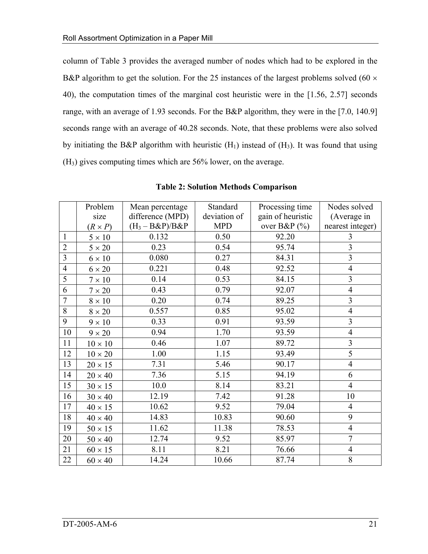column of Table 3 provides the averaged number of nodes which had to be explored in the B&P algorithm to get the solution. For the 25 instances of the largest problems solved (60  $\times$ 40), the computation times of the marginal cost heuristic were in the [1.56, 2.57] seconds range, with an average of 1.93 seconds. For the B&P algorithm, they were in the [7.0, 140.9] seconds range with an average of 40.28 seconds. Note, that these problems were also solved by initiating the B&P algorithm with heuristic  $(H_1)$  instead of  $(H_3)$ . It was found that using (H3) gives computing times which are 56% lower, on the average.

|                | Problem        | Mean percentage     | Standard     | Processing time   | Nodes solved     |
|----------------|----------------|---------------------|--------------|-------------------|------------------|
|                | size           | difference (MPD)    | deviation of | gain of heuristic | (Average in      |
|                | $(R \times P)$ | $(H_3 - B\&P)/B\&P$ | <b>MPD</b>   | over $B\&P(\%)$   | nearest integer) |
| $\mathbf{1}$   | $5 \times 10$  | 0.132               | 0.50         | 92.20             | 3                |
| $\overline{2}$ | $5\times20$    | 0.23                | 0.54         | 95.74             | $\overline{3}$   |
| $\overline{3}$ | $6 \times 10$  | 0.080               | 0.27         | 84.31             | $\overline{3}$   |
| $\overline{4}$ | $6 \times 20$  | 0.221               | 0.48         | 92.52             | $\overline{4}$   |
| 5              | $7\times10$    | 0.14                | 0.53         | 84.15             | $\overline{3}$   |
| 6              | $7\times20$    | 0.43                | 0.79         | 92.07             | $\overline{4}$   |
| $\overline{7}$ | $8 \times 10$  | 0.20                | 0.74         | 89.25             | 3                |
| 8              | $8 \times 20$  | 0.557               | 0.85         | 95.02             | $\overline{4}$   |
| 9              | $9 \times 10$  | 0.33                | 0.91         | 93.59             | $\overline{3}$   |
| 10             | $9 \times 20$  | 0.94                | 1.70         | 93.59             | $\overline{4}$   |
| 11             | $10 \times 10$ | 0.46                | 1.07         | 89.72             | $\overline{3}$   |
| 12             | $10 \times 20$ | 1.00                | 1.15         | 93.49             | $\overline{5}$   |
| 13             | $20 \times 15$ | 7.31                | 5.46         | 90.17             | $\overline{4}$   |
| 14             | $20 \times 40$ | 7.36                | 5.15         | 94.19             | 6                |
| 15             | $30 \times 15$ | 10.0                | 8.14         | 83.21             | $\overline{4}$   |
| 16             | $30 \times 40$ | 12.19               | 7.42         | 91.28             | 10               |
| 17             | $40 \times 15$ | 10.62               | 9.52         | 79.04             | $\overline{4}$   |
| 18             | $40 \times 40$ | 14.83               | 10.83        | 90.60             | 9                |
| 19             | $50 \times 15$ | 11.62               | 11.38        | 78.53             | $\overline{4}$   |
| 20             | $50 \times 40$ | 12.74               | 9.52         | 85.97             | $\overline{7}$   |
| 21             | $60 \times 15$ | 8.11                | 8.21         | 76.66             | $\overline{4}$   |
| 22             | $60 \times 40$ | 14.24               | 10.66        | 87.74             | $\, 8$           |

**Table 2: Solution Methods Comparison**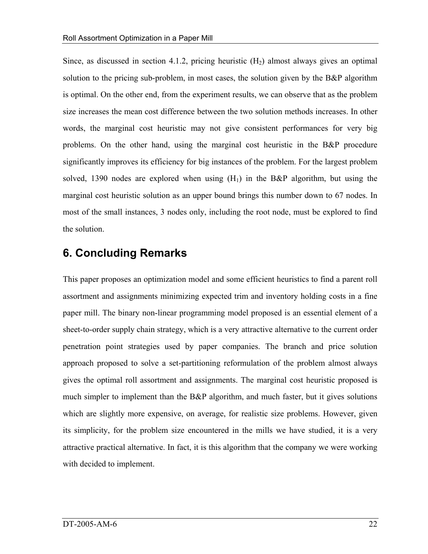Since, as discussed in section 4.1.2, pricing heuristic  $(H<sub>2</sub>)$  almost always gives an optimal solution to the pricing sub-problem, in most cases, the solution given by the B&P algorithm is optimal. On the other end, from the experiment results, we can observe that as the problem size increases the mean cost difference between the two solution methods increases. In other words, the marginal cost heuristic may not give consistent performances for very big problems. On the other hand, using the marginal cost heuristic in the B&P procedure significantly improves its efficiency for big instances of the problem. For the largest problem solved, 1390 nodes are explored when using  $(H<sub>1</sub>)$  in the B&P algorithm, but using the marginal cost heuristic solution as an upper bound brings this number down to 67 nodes. In most of the small instances, 3 nodes only, including the root node, must be explored to find the solution.

# **6. Concluding Remarks**

This paper proposes an optimization model and some efficient heuristics to find a parent roll assortment and assignments minimizing expected trim and inventory holding costs in a fine paper mill. The binary non-linear programming model proposed is an essential element of a sheet-to-order supply chain strategy, which is a very attractive alternative to the current order penetration point strategies used by paper companies. The branch and price solution approach proposed to solve a set-partitioning reformulation of the problem almost always gives the optimal roll assortment and assignments. The marginal cost heuristic proposed is much simpler to implement than the B&P algorithm, and much faster, but it gives solutions which are slightly more expensive, on average, for realistic size problems. However, given its simplicity, for the problem size encountered in the mills we have studied, it is a very attractive practical alternative. In fact, it is this algorithm that the company we were working with decided to implement.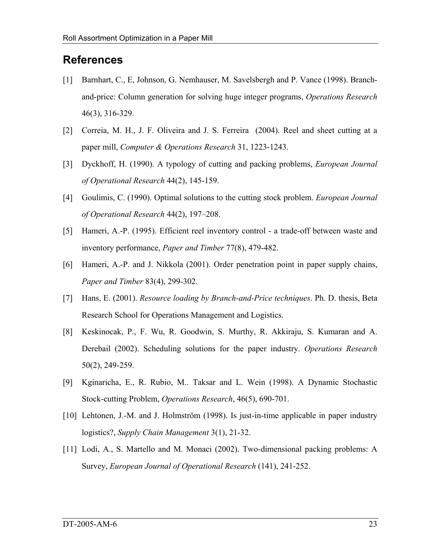### **References**

- [1] Barnhart, C., E, Johnson, G. Nemhauser, M. Savelsbergh and P. Vance (1998). Branchand-price: Column generation for solving huge integer programs, *Operations Research*  46(3), 316-329.
- [2] Correia, M. H., J. F. Oliveira and J. S. Ferreira (2004). Reel and sheet cutting at a paper mill, *Computer & Operations Research* 31, 1223-1243.
- [3] Dyckhoff, H. (1990). A typology of cutting and packing problems, *European Journal of Operational Research* 44(2), 145-159.
- [4] Goulimis, C. (1990). Optimal solutions to the cutting stock problem. *European Journal of Operational Research* 44(2), 197–208.
- [5] Hameri, A.-P. (1995). Efficient reel inventory control a trade-off between waste and inventory performance, *Paper and Timber* 77(8), 479-482.
- [6] Hameri, A.-P. and J. Nikkola (2001). Order penetration point in paper supply chains, *Paper and Timber* 83(4), 299-302.
- [7] Hans, E. (2001). *Resource loading by Branch-and-Price techniques*. Ph. D. thesis, Beta Research School for Operations Management and Logistics.
- [8] Keskinocak, P., F. Wu, R. Goodwin, S. Murthy, R. Akkiraju, S. Kumaran and A. Derebail (2002). Scheduling solutions for the paper industry. *Operations Research*  50(2), 249-259.
- [9] Kginaricha, E., R. Rubio, M.. Taksar and L. Wein (1998). A Dynamic Stochastic Stock-cutting Problem, *Operations Research*, 46(5), 690-701.
- [10] Lehtonen, J.-M. and J. Holmström (1998). Is just-in-time applicable in paper industry logistics?, *Supply Chain Management* 3(1), 21-32.
- [11] Lodi, A., S. Martello and M. Monaci (2002). Two-dimensional packing problems: A Survey, *European Journal of Operational Research* (141), 241-252.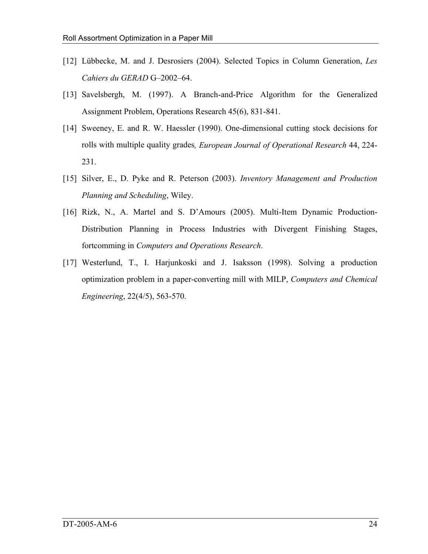- [12] Lübbecke, M. and J. Desrosiers (2004). Selected Topics in Column Generation, *Les Cahiers du GERAD* G–2002–64.
- [13] Savelsbergh, M. (1997). A Branch-and-Price Algorithm for the Generalized Assignment Problem, Operations Research 45(6), 831-841.
- [14] Sweeney, E. and R. W. Haessler (1990). One-dimensional cutting stock decisions for rolls with multiple quality grades*, European Journal of Operational Research* 44, 224- 231.
- [15] Silver, E., D. Pyke and R. Peterson (2003). *Inventory Management and Production Planning and Scheduling*, Wiley.
- [16] Rizk, N., A. Martel and S. D'Amours (2005). Multi-Item Dynamic Production-Distribution Planning in Process Industries with Divergent Finishing Stages, fortcomming in *Computers and Operations Research*.
- [17] Westerlund, T., I. Harjunkoski and J. Isaksson (1998). Solving a production optimization problem in a paper-converting mill with MILP, *Computers and Chemical Engineering*, 22(4/5), 563-570.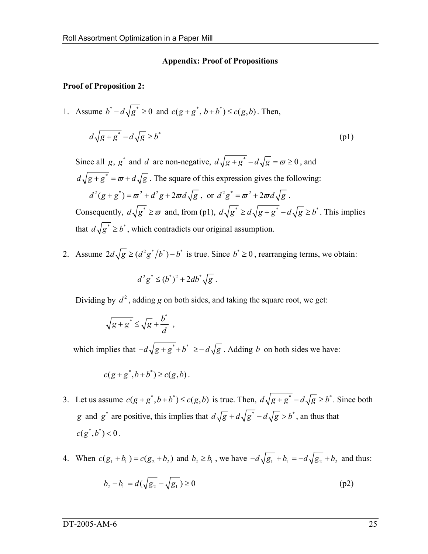#### **Appendix: Proof of Propositions**

#### **Proof of Proposition 2:**

1. Assume  $b^* - d\sqrt{g^*} \ge 0$  and  $c(g + g^*, b + b^*) \le c(g, b)$ . Then,  $d\sqrt{g+g^*} - d\sqrt{g} \ge b^*$  (p1)

Since all  $g, g^*$  and *d* are non-negative,  $d\sqrt{g+g^*} - d\sqrt{g} = \overline{\omega} \ge 0$ , and  $d\sqrt{g+g^*} = \varpi + d\sqrt{g}$ . The square of this expression gives the following:  $d^{2}(g+g^{*}) = \varpi^{2} + d^{2}g + 2\varpi d\sqrt{g}$ , or  $d^{2}g^{*} = \varpi^{2} + 2\varpi d\sqrt{g}$ . Consequently,  $d\sqrt{g^*} \ge \varpi$  and, from (p1),  $d\sqrt{g^*} \ge d\sqrt{g+g^*} - d\sqrt{g} \ge b^*$ . This implies that  $d\sqrt{g^*} \ge b^*$ , which contradicts our original assumption.

2. Assume  $2d\sqrt{g} \geq (d^2g^*/b^*) - b^*$  is true. Since  $b^* \geq 0$ , rearranging terms, we obtain:

$$
d^2g^* \le (b^*)^2 + 2db^* \sqrt{g} .
$$

Dividing by  $d^2$ , adding g on both sides, and taking the square root, we get:

$$
\sqrt{g+g}^* \le \sqrt{g} + \frac{b^*}{d} ,
$$

which implies that  $-d\sqrt{g+g^*}+b^* \geq -d\sqrt{g}$ . Adding *b* on both sides we have:

$$
c(g+g^*,b+b^*) \geq c(g,b).
$$

- 3. Let us assume  $c(g + g^*, b + b^*) \leq c(g, b)$  is true. Then,  $d\sqrt{g + g^*} d\sqrt{g} \geq b^*$ . Since both *g* and  $g^*$  are positive, this implies that  $d\sqrt{g} + d\sqrt{g^*} - d\sqrt{g} > b^*$ , an thus that  $c(g^*,b^*)$  < 0.
- 4. When  $c(g_1 + b_1) = c(g_2 + b_2)$  and  $b_2 \ge b_1$ , we have  $-d\sqrt{g_1} + b_1 = -d\sqrt{g_2} + b_2$  and thus:

$$
b_2 - b_1 = d(\sqrt{g_2} - \sqrt{g_1}) \ge 0
$$
 (p2)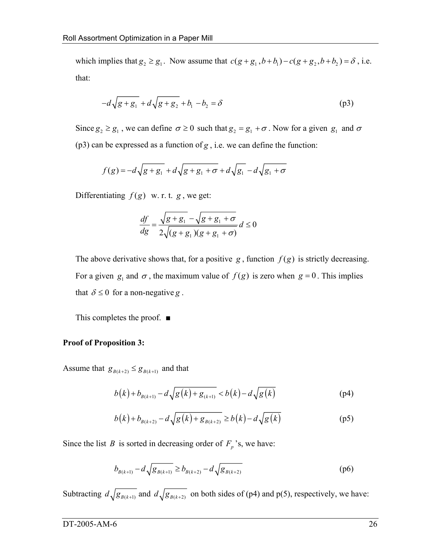which implies that  $g_2 \ge g_1$ . Now assume that  $c(g+g_1, b+b_1)-c(g+g_2, b+b_2)=\delta$ , i.e. that:

$$
-d\sqrt{g+g_1} + d\sqrt{g+g_2} + b_1 - b_2 = \delta
$$
 (p3)

Since  $g_2 \ge g_1$ , we can define  $\sigma \ge 0$  such that  $g_2 = g_1 + \sigma$ . Now for a given  $g_1$  and  $\sigma$ (p3) can be expressed as a function of *g* , i.e. we can define the function:

$$
f(g) = -d\sqrt{g + g_1} + d\sqrt{g + g_1 + \sigma} + d\sqrt{g_1} - d\sqrt{g_1 + \sigma}
$$

Differentiating  $f(g)$  w. r. t.  $g$ , we get:

$$
\frac{df}{dg} = \frac{\sqrt{g+g_1} - \sqrt{g+g_1+\sigma}}{2\sqrt{(g+g_1)(g+g_1+\sigma)}} d \le 0
$$

The above derivative shows that, for a positive  $g$ , function  $f(g)$  is strictly decreasing. For a given  $g_1$  and  $\sigma$ , the maximum value of  $f(g)$  is zero when  $g = 0$ . This implies that  $\delta \leq 0$  for a non-negative *g*.

This completes the proof. ■

#### **Proof of Proposition 3:**

Assume that  $g_{B(k+2)} \leq g_{B(k+1)}$  and that

$$
b(k) + b_{B(k+1)} - d\sqrt{g(k) + g_{(k+1)}} < b(k) - d\sqrt{g(k)}
$$
 (p4)

$$
b(k) + b_{B(k+2)} - d\sqrt{g(k) + g_{B(k+2)}} \ge b(k) - d\sqrt{g(k)}
$$
 (p5)

Since the list *B* is sorted in decreasing order of  $F_p$ 's, we have:

$$
b_{B(k+1)} - d\sqrt{g_{B(k+1)}} \ge b_{B(k+2)} - d\sqrt{g_{B(k+2)}}
$$
 (p6)

Subtracting  $d\sqrt{g_{B(k+1)}}$  and  $d\sqrt{g_{B(k+2)}}$  on both sides of (p4) and p(5), respectively, we have: